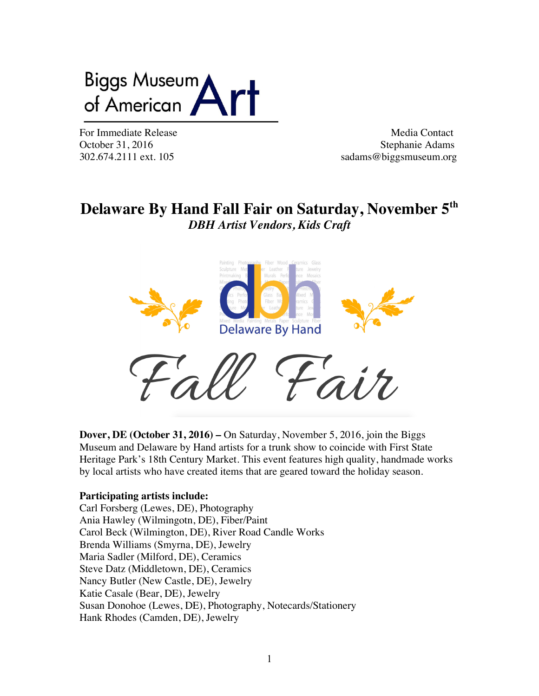# Biggs Museum of American

For Immediate Release **Media Contact** Media Contact October 31, 2016 Stephanie Adams<br>302.674.2111 ext. 105 sadams@biggsmuseum.org sadams@biggsmuseum.org

## **Delaware By Hand Fall Fair on Saturday, November 5th** *DBH Artist Vendors, Kids Craft*



**Dover, DE (October 31, 2016) –** On Saturday, November 5, 2016, join the Biggs Museum and Delaware by Hand artists for a trunk show to coincide with First State Heritage Park's 18th Century Market. This event features high quality, handmade works by local artists who have created items that are geared toward the holiday season.

### **Participating artists include:**

Carl Forsberg (Lewes, DE), Photography Ania Hawley (Wilmingotn, DE), Fiber/Paint Carol Beck (Wilmington, DE), River Road Candle Works Brenda Williams (Smyrna, DE), Jewelry Maria Sadler (Milford, DE), Ceramics Steve Datz (Middletown, DE), Ceramics Nancy Butler (New Castle, DE), Jewelry Katie Casale (Bear, DE), Jewelry Susan Donohoe (Lewes, DE), Photography, Notecards/Stationery Hank Rhodes (Camden, DE), Jewelry